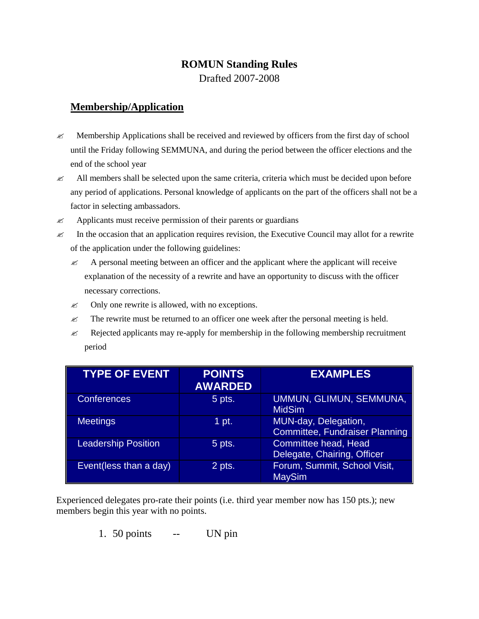## **ROMUN Standing Rules**

Drafted 2007-2008

## **Membership/Application**

- $\ll$  Membership Applications shall be received and reviewed by officers from the first day of school until the Friday following SEMMUNA, and during the period between the officer elections and the end of the school year
- $\ll$  All members shall be selected upon the same criteria, criteria which must be decided upon before any period of applications. Personal knowledge of applicants on the part of the officers shall not be a factor in selecting ambassadors.
- $\mathscr{A}$  Applicants must receive permission of their parents or guardians
- $\ll$  In the occasion that an application requires revision, the Executive Council may allot for a rewrite of the application under the following guidelines:
	- $\ll$  A personal meeting between an officer and the applicant where the applicant will receive explanation of the necessity of a rewrite and have an opportunity to discuss with the officer necessary corrections.
	- $\mathscr{L}$  Only one rewrite is allowed, with no exceptions.
	- $\ll$  The rewrite must be returned to an officer one week after the personal meeting is held.
	- $\ll$  Rejected applicants may re-apply for membership in the following membership recruitment period

| <b>TYPE OF EVENT</b>       | <b>POINTS</b><br><b>AWARDED</b> | <b>EXAMPLES</b>                                               |
|----------------------------|---------------------------------|---------------------------------------------------------------|
| <b>Conferences</b>         | 5 pts.                          | UMMUN, GLIMUN, SEMMUNA,<br><b>MidSim</b>                      |
| <b>Meetings</b>            | 1 pt.                           | MUN-day, Delegation,<br><b>Committee, Fundraiser Planning</b> |
| <b>Leadership Position</b> | 5 pts.                          | Committee head, Head<br>Delegate, Chairing, Officer           |
| Event(less than a day)     | 2 pts.                          | Forum, Summit, School Visit,<br><b>MaySim</b>                 |

Experienced delegates pro-rate their points (i.e. third year member now has 150 pts.); new members begin this year with no points.

1. 50 points -- UN pin